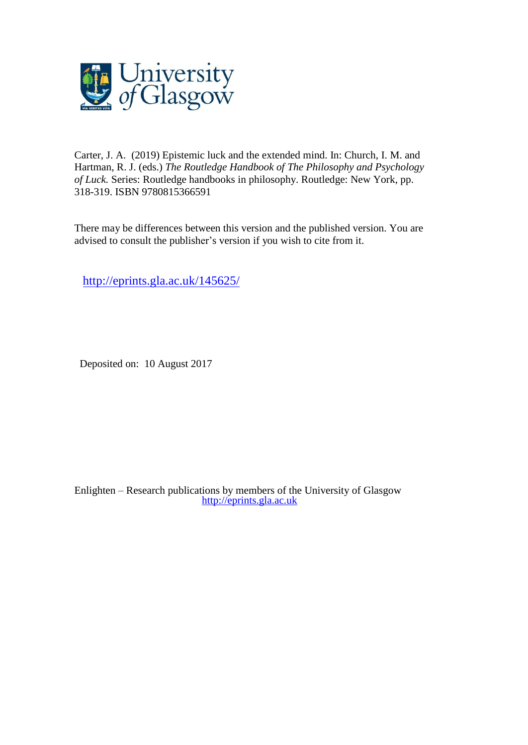

Carter, J. A. (2019) Epistemic luck and the extended mind. In: Church, I. M. and Hartman, R. J. (eds.) *The Routledge Handbook of The Philosophy and Psychology of Luck.* Series: Routledge handbooks in philosophy. Routledge: New York, pp. 318-319. ISBN 9780815366591

There may be differences between this version and the published version. You are advised to consult the publisher's version if you wish to cite from it.

<http://eprints.gla.ac.uk/145625/>

Deposited on: 10 August 2017

Enlighten – Research publications by members of the University of Glasgow [http://eprints.gla.ac.uk](http://eprints.gla.ac.uk/)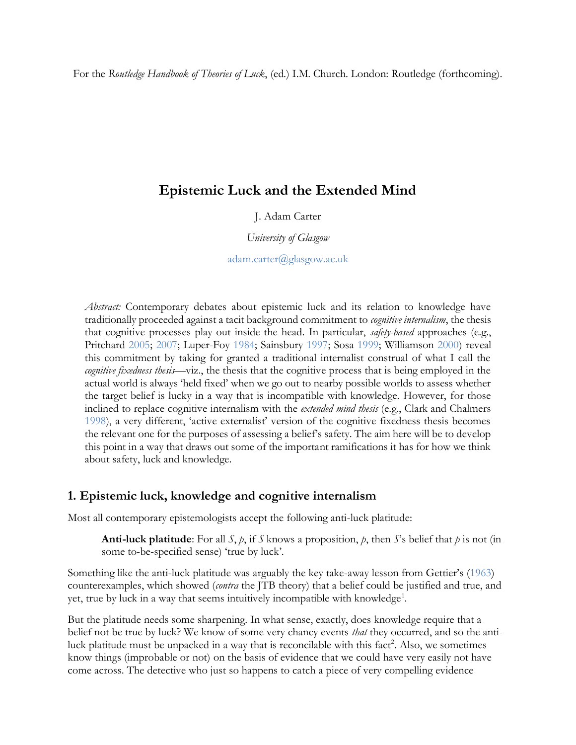#### **Epistemic Luck and the Extended Mind**

J. Adam Carter

*University of Glasgow*

[adam.carter@glasgow.ac.uk](mailto:adam.carter@glasgow.ac.uk)

*Abstract:* Contemporary debates about epistemic luck and its relation to knowledge have traditionally proceeded against a tacit background commitment to *cognitive internalism*, the thesis that cognitive processes play out inside the head. In particular, *safety-based* approaches (e.g., Pritchard 2005; 2007; Luper-Foy 1984; Sainsbury 1997; Sosa 1999; Williamson 2000) reveal this commitment by taking for granted a traditional internalist construal of what I call the *cognitive fixedness thesis*—viz., the thesis that the cognitive process that is being employed in the actual world is always 'held fixed' when we go out to nearby possible worlds to assess whether the target belief is lucky in a way that is incompatible with knowledge. However, for those inclined to replace cognitive internalism with the *extended mind thesis* (e.g., Clark and Chalmers 1998), a very different, 'active externalist' version of the cognitive fixedness thesis becomes the relevant one for the purposes of assessing a belief's safety. The aim here will be to develop this point in a way that draws out some of the important ramifications it has for how we think about safety, luck and knowledge.

#### **1. Epistemic luck, knowledge and cognitive internalism**

Most all contemporary epistemologists accept the following anti-luck platitude:

**Anti-luck platitude**: For all *S*, *p*, if *S* knows a proposition, *p*, then *S*'s belief that *p* is not (in some to-be-specified sense) 'true by luck'.

Something like the anti-luck platitude was arguably the key take-away lesson from Gettier's (1963) counterexamples, which showed (*contra* the JTB theory) that a belief could be justified and true, and yet, true by luck in a way that seems intuitively incompatible with knowledge<sup>1</sup>.

But the platitude needs some sharpening. In what sense, exactly, does knowledge require that a belief not be true by luck? We know of some very chancy events *that* they occurred, and so the antiluck platitude must be unpacked in a way that is reconcilable with this fact<sup>2</sup>. Also, we sometimes know things (improbable or not) on the basis of evidence that we could have very easily not have come across. The detective who just so happens to catch a piece of very compelling evidence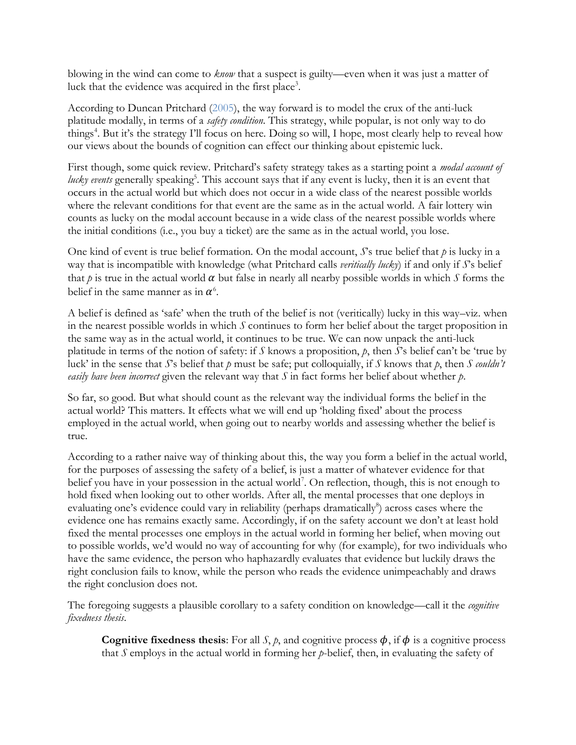blowing in the wind can come to *know* that a suspect is guilty—even when it was just a matter of luck that the evidence was acquired in the first place<sup>3</sup>.

According to Duncan Pritchard (2005), the way forward is to model the crux of the anti-luck platitude modally, in terms of a *safety condition*. This strategy, while popular, is not only way to do things<sup>4</sup>. But it's the strategy I'll focus on here. Doing so will, I hope, most clearly help to reveal how our views about the bounds of cognition can effect our thinking about epistemic luck.

First though, some quick review. Pritchard's safety strategy takes as a starting point a *modal account of*  lucky events generally speaking<sup>5</sup>. This account says that if any event is lucky, then it is an event that occurs in the actual world but which does not occur in a wide class of the nearest possible worlds where the relevant conditions for that event are the same as in the actual world. A fair lottery win counts as lucky on the modal account because in a wide class of the nearest possible worlds where the initial conditions (i.e., you buy a ticket) are the same as in the actual world, you lose.

One kind of event is true belief formation. On the modal account, *S*'s true belief that *p* is lucky in a way that is incompatible with knowledge (what Pritchard calls *veritically lucky*) if and only if *S*'s belief that  $p$  is true in the actual world  $\alpha$  but false in nearly all nearby possible worlds in which *S* forms the belief in the same manner as in  $\alpha^6$ .

A belief is defined as 'safe' when the truth of the belief is not (veritically) lucky in this way–viz. when in the nearest possible worlds in which *S* continues to form her belief about the target proposition in the same way as in the actual world, it continues to be true. We can now unpack the anti-luck platitude in terms of the notion of safety: if *S* knows a proposition, *p*, then *S*'s belief can't be 'true by luck' in the sense that *S*'s belief that *p* must be safe; put colloquially, if *S* knows that *p*, then *S couldn't easily have been incorrect* given the relevant way that *S* in fact forms her belief about whether *p*.

So far, so good. But what should count as the relevant way the individual forms the belief in the actual world? This matters. It effects what we will end up 'holding fixed' about the process employed in the actual world, when going out to nearby worlds and assessing whether the belief is true.

According to a rather naive way of thinking about this, the way you form a belief in the actual world, for the purposes of assessing the safety of a belief, is just a matter of whatever evidence for that belief you have in your possession in the actual world<sup>7</sup>. On reflection, though, this is not enough to hold fixed when looking out to other worlds. After all, the mental processes that one deploys in evaluating one's evidence could vary in reliability (perhaps dramatically<sup>8</sup>) across cases where the evidence one has remains exactly same. Accordingly, if on the safety account we don't at least hold fixed the mental processes one employs in the actual world in forming her belief, when moving out to possible worlds, we'd would no way of accounting for why (for example), for two individuals who have the same evidence, the person who haphazardly evaluates that evidence but luckily draws the right conclusion fails to know, while the person who reads the evidence unimpeachably and draws the right conclusion does not.

The foregoing suggests a plausible corollary to a safety condition on knowledge—call it the *cognitive fixedness thesis*.

**Cognitive fixedness thesis:** For all *S*, *p*, and cognitive process  $\phi$ , if  $\phi$  is a cognitive process that *S* employs in the actual world in forming her *p*-belief, then, in evaluating the safety of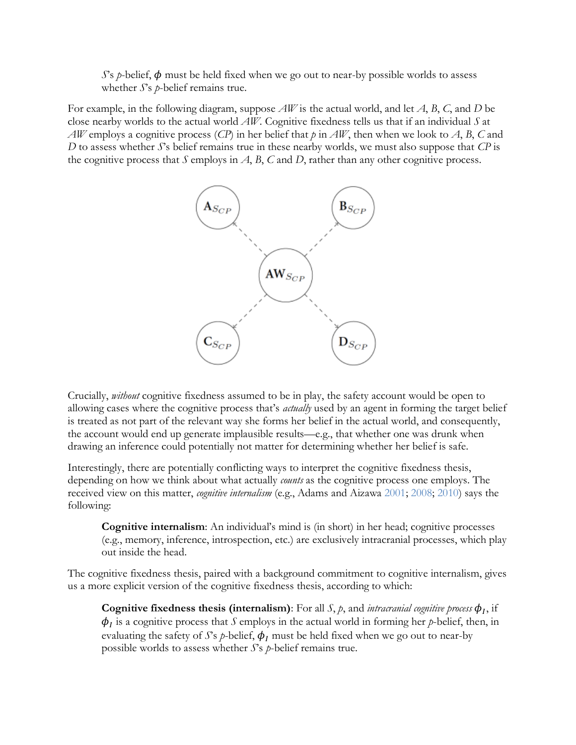*S*'s *p*-belief,  $\phi$  must be held fixed when we go out to near-by possible worlds to assess whether *S*'s *p*-belief remains true.

For example, in the following diagram, suppose *AW* is the actual world, and let *A*, *B*, *C*, and *D* be close nearby worlds to the actual world *AW*. Cognitive fixedness tells us that if an individual *S* at *AW* employs a cognitive process (*CP*) in her belief that *p* in *AW*, then when we look to *A*, *B*, *C* and *D* to assess whether *S*'s belief remains true in these nearby worlds, we must also suppose that *CP* is the cognitive process that *S* employs in *A*, *B*, *C* and *D*, rather than any other cognitive process.



Crucially, *without* cognitive fixedness assumed to be in play, the safety account would be open to allowing cases where the cognitive process that's *actually* used by an agent in forming the target belief is treated as not part of the relevant way she forms her belief in the actual world, and consequently, the account would end up generate implausible results—e.g., that whether one was drunk when drawing an inference could potentially not matter for determining whether her belief is safe.

Interestingly, there are potentially conflicting ways to interpret the cognitive fixedness thesis, depending on how we think about what actually *counts* as the cognitive process one employs. The received view on this matter, *cognitive internalism* (e.g., Adams and Aizawa 2001; 2008; 2010) says the following:

**Cognitive internalism**: An individual's mind is (in short) in her head; cognitive processes (e.g., memory, inference, introspection, etc.) are exclusively intracranial processes, which play out inside the head.

The cognitive fixedness thesis, paired with a background commitment to cognitive internalism, gives us a more explicit version of the cognitive fixedness thesis, according to which:

**Cognitive fixedness thesis (internalism):** For all  $S$ ,  $p$ , and *intracranial cognitive process*  $\phi_I$ , if  $\phi_I$  is a cognitive process that *S* employs in the actual world in forming her *p*-belief, then, in evaluating the safety of  $S$ 's p-belief,  $\phi_I$  must be held fixed when we go out to near-by possible worlds to assess whether *S*'s *p*-belief remains true.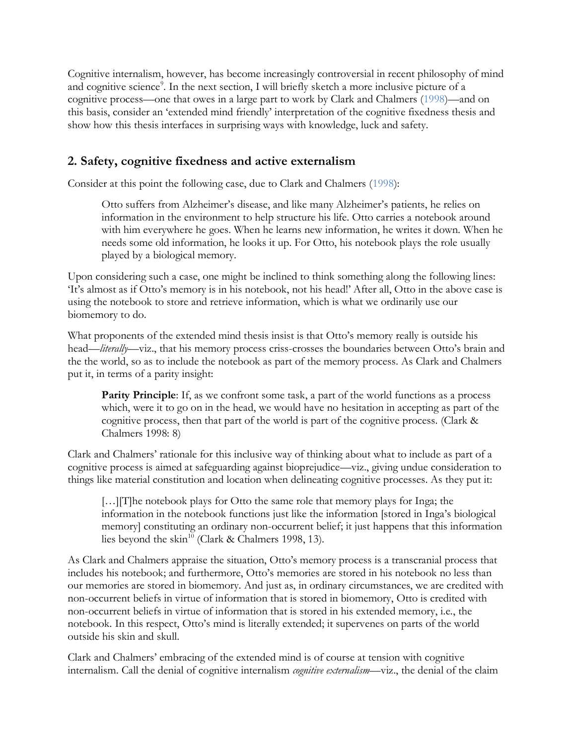Cognitive internalism, however, has become increasingly controversial in recent philosophy of mind and cognitive science<sup>9</sup>. In the next section, I will briefly sketch a more inclusive picture of a cognitive process—one that owes in a large part to work by Clark and Chalmers (1998)—and on this basis, consider an 'extended mind friendly' interpretation of the cognitive fixedness thesis and show how this thesis interfaces in surprising ways with knowledge, luck and safety.

#### **2. Safety, cognitive fixedness and active externalism**

Consider at this point the following case, due to Clark and Chalmers (1998):

Otto suffers from Alzheimer's disease, and like many Alzheimer's patients, he relies on information in the environment to help structure his life. Otto carries a notebook around with him everywhere he goes. When he learns new information, he writes it down. When he needs some old information, he looks it up. For Otto, his notebook plays the role usually played by a biological memory.

Upon considering such a case, one might be inclined to think something along the following lines: 'It's almost as if Otto's memory is in his notebook, not his head!' After all, Otto in the above case is using the notebook to store and retrieve information, which is what we ordinarily use our biomemory to do.

What proponents of the extended mind thesis insist is that Otto's memory really is outside his head—*literally*—viz., that his memory process criss-crosses the boundaries between Otto's brain and the the world, so as to include the notebook as part of the memory process. As Clark and Chalmers put it, in terms of a parity insight:

**Parity Principle**: If, as we confront some task, a part of the world functions as a process which, were it to go on in the head, we would have no hesitation in accepting as part of the cognitive process, then that part of the world is part of the cognitive process. (Clark & Chalmers 1998: 8)

Clark and Chalmers' rationale for this inclusive way of thinking about what to include as part of a cognitive process is aimed at safeguarding against bioprejudice—viz., giving undue consideration to things like material constitution and location when delineating cognitive processes. As they put it:

[...][T]he notebook plays for Otto the same role that memory plays for Inga; the information in the notebook functions just like the information [stored in Inga's biological memory] constituting an ordinary non-occurrent belief; it just happens that this information lies beyond the skin<sup>10</sup> (Clark & Chalmers 1998, 13).

As Clark and Chalmers appraise the situation, Otto's memory process is a transcranial process that includes his notebook; and furthermore, Otto's memories are stored in his notebook no less than our memories are stored in biomemory. And just as, in ordinary circumstances, we are credited with non-occurrent beliefs in virtue of information that is stored in biomemory, Otto is credited with non-occurrent beliefs in virtue of information that is stored in his extended memory, i.e., the notebook. In this respect, Otto's mind is literally extended; it supervenes on parts of the world outside his skin and skull.

Clark and Chalmers' embracing of the extended mind is of course at tension with cognitive internalism. Call the denial of cognitive internalism *cognitive externalism*—viz., the denial of the claim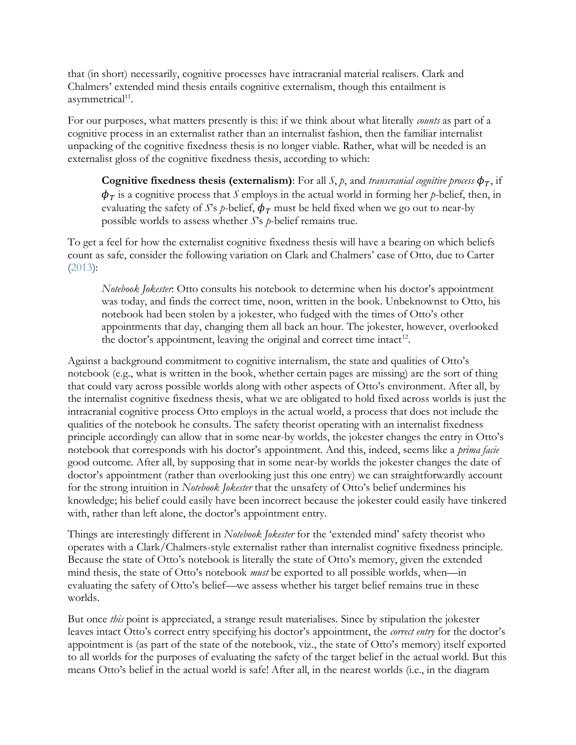that (in short) necessarily, cognitive processes have intracranial material realisers. Clark and Chalmers' extended mind thesis entails cognitive externalism, though this entailment is asymmetrical<sup>11</sup>.

For our purposes, what matters presently is this: if we think about what literally *counts* as part of a cognitive process in an externalist rather than an internalist fashion, then the familiar internalist unpacking of the cognitive fixedness thesis is no longer viable. Rather, what will be needed is an externalist gloss of the cognitive fixedness thesis, according to which:

**Cognitive fixedness thesis (externalism):** For all *S*, *p*, and *transcranial cognitive process*  $\phi_T$ , if  $\phi_T$  is a cognitive process that *S* employs in the actual world in forming her *p*-belief, then, in evaluating the safety of  $S$ 's *p*-belief,  $\phi_T$  must be held fixed when we go out to near-by possible worlds to assess whether *S*'s *p*-belief remains true.

To get a feel for how the externalist cognitive fixedness thesis will have a bearing on which beliefs count as safe, consider the following variation on Clark and Chalmers' case of Otto, due to Carter (2013):

*Notebook Jokester*: Otto consults his notebook to determine when his doctor's appointment was today, and finds the correct time, noon, written in the book. Unbeknownst to Otto, his notebook had been stolen by a jokester, who fudged with the times of Otto's other appointments that day, changing them all back an hour. The jokester, however, overlooked the doctor's appointment, leaving the original and correct time intact<sup>12</sup>.

Against a background commitment to cognitive internalism, the state and qualities of Otto's notebook (e.g., what is written in the book, whether certain pages are missing) are the sort of thing that could vary across possible worlds along with other aspects of Otto's environment. After all, by the internalist cognitive fixedness thesis, what we are obligated to hold fixed across worlds is just the intracranial cognitive process Otto employs in the actual world, a process that does not include the qualities of the notebook he consults. The safety theorist operating with an internalist fixedness principle accordingly can allow that in some near-by worlds, the jokester changes the entry in Otto's notebook that corresponds with his doctor's appointment. And this, indeed, seems like a *prima facie* good outcome. After all, by supposing that in some near-by worlds the jokester changes the date of doctor's appointment (rather than overlooking just this one entry) we can straightforwardly account for the strong intuition in *Notebook Jokester* that the unsafety of Otto's belief undermines his knowledge; his belief could easily have been incorrect because the jokester could easily have tinkered with, rather than left alone, the doctor's appointment entry.

Things are interestingly different in *Notebook Jokester* for the 'extended mind' safety theorist who operates with a Clark/Chalmers-style externalist rather than internalist cognitive fixedness principle. Because the state of Otto's notebook is literally the state of Otto's memory, given the extended mind thesis, the state of Otto's notebook *must* be exported to all possible worlds, when—in evaluating the safety of Otto's belief—we assess whether his target belief remains true in these worlds.

But once *this* point is appreciated, a strange result materialises. Since by stipulation the jokester leaves intact Otto's correct entry specifying his doctor's appointment, the *correct entry* for the doctor's appointment is (as part of the state of the notebook, viz., the state of Otto's memory) itself exported to all worlds for the purposes of evaluating the safety of the target belief in the actual world. But this means Otto's belief in the actual world is safe! After all, in the nearest worlds (i.e., in the diagram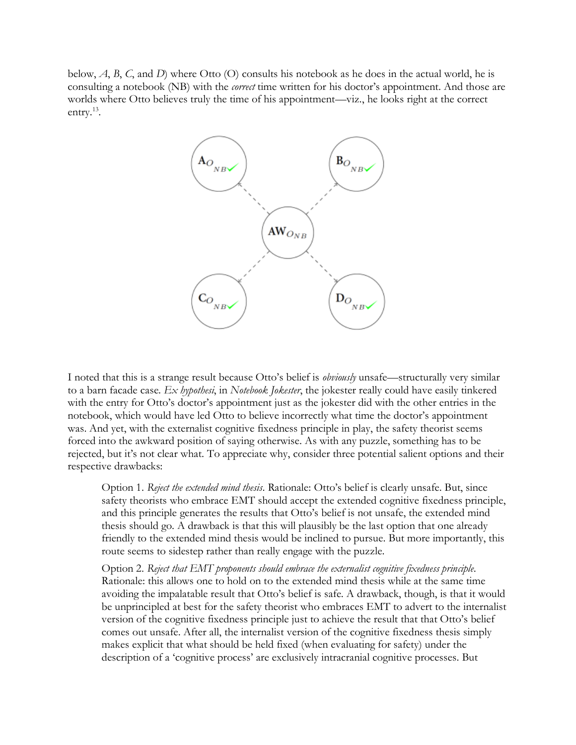below, *A*, *B*, *C*, and *D*) where Otto (O) consults his notebook as he does in the actual world, he is consulting a notebook (NB) with the *correct* time written for his doctor's appointment. And those are worlds where Otto believes truly the time of his appointment—viz., he looks right at the correct entry.<sup>13</sup>.



I noted that this is a strange result because Otto's belief is *obviously* unsafe—structurally very similar to a barn facade case. *Ex hypothesi*, in *Notebook Jokester*, the jokester really could have easily tinkered with the entry for Otto's doctor's appointment just as the jokester did with the other entries in the notebook, which would have led Otto to believe incorrectly what time the doctor's appointment was. And yet, with the externalist cognitive fixedness principle in play, the safety theorist seems forced into the awkward position of saying otherwise. As with any puzzle, something has to be rejected, but it's not clear what. To appreciate why, consider three potential salient options and their respective drawbacks:

Option 1. *Reject the extended mind thesis*. Rationale: Otto's belief is clearly unsafe. But, since safety theorists who embrace EMT should accept the extended cognitive fixedness principle, and this principle generates the results that Otto's belief is not unsafe, the extended mind thesis should go. A drawback is that this will plausibly be the last option that one already friendly to the extended mind thesis would be inclined to pursue. But more importantly, this route seems to sidestep rather than really engage with the puzzle.

Option 2. *Reject that EMT proponents should embrace the externalist cognitive fixedness principle*. Rationale: this allows one to hold on to the extended mind thesis while at the same time avoiding the impalatable result that Otto's belief is safe. A drawback, though, is that it would be unprincipled at best for the safety theorist who embraces EMT to advert to the internalist version of the cognitive fixedness principle just to achieve the result that that Otto's belief comes out unsafe. After all, the internalist version of the cognitive fixedness thesis simply makes explicit that what should be held fixed (when evaluating for safety) under the description of a 'cognitive process' are exclusively intracranial cognitive processes. But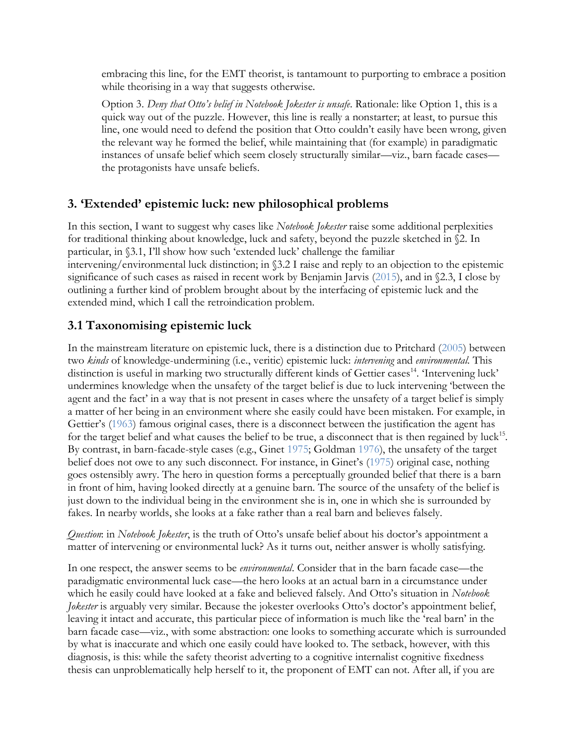embracing this line, for the EMT theorist, is tantamount to purporting to embrace a position while theorising in a way that suggests otherwise.

Option 3. *Deny that Otto's belief in Notebook Jokester is unsafe*. Rationale: like Option 1, this is a quick way out of the puzzle. However, this line is really a nonstarter; at least, to pursue this line, one would need to defend the position that Otto couldn't easily have been wrong, given the relevant way he formed the belief, while maintaining that (for example) in paradigmatic instances of unsafe belief which seem closely structurally similar—viz., barn facade cases the protagonists have unsafe beliefs.

# **3. 'Extended' epistemic luck: new philosophical problems**

In this section, I want to suggest why cases like *Notebook Jokester* raise some additional perplexities for traditional thinking about knowledge, luck and safety, beyond the puzzle sketched in §2. In particular, in §3.1, I'll show how such 'extended luck' challenge the familiar intervening/environmental luck distinction; in §3.2 I raise and reply to an objection to the epistemic significance of such cases as raised in recent work by Benjamin Jarvis (2015), and in §2.3, I close by outlining a further kind of problem brought about by the interfacing of epistemic luck and the extended mind, which I call the retroindication problem.

# **3.1 Taxonomising epistemic luck**

In the mainstream literature on epistemic luck, there is a distinction due to Pritchard (2005) between two *kinds* of knowledge-undermining (i.e., veritic) epistemic luck: *intervening* and *environmental*. This distinction is useful in marking two structurally different kinds of Gettier cases<sup>14</sup>. 'Intervening luck' undermines knowledge when the unsafety of the target belief is due to luck intervening 'between the agent and the fact' in a way that is not present in cases where the unsafety of a target belief is simply a matter of her being in an environment where she easily could have been mistaken. For example, in Gettier's (1963) famous original cases, there is a disconnect between the justification the agent has for the target belief and what causes the belief to be true, a disconnect that is then regained by luck<sup>15</sup>. By contrast, in barn-facade-style cases (e.g., Ginet 1975; Goldman 1976), the unsafety of the target belief does not owe to any such disconnect. For instance, in Ginet's (1975) original case, nothing goes ostensibly awry. The hero in question forms a perceptually grounded belief that there is a barn in front of him, having looked directly at a genuine barn. The source of the unsafety of the belief is just down to the individual being in the environment she is in, one in which she is surrounded by fakes. In nearby worlds, she looks at a fake rather than a real barn and believes falsely.

*Question*: in *Notebook Jokester*, is the truth of Otto's unsafe belief about his doctor's appointment a matter of intervening or environmental luck? As it turns out, neither answer is wholly satisfying.

In one respect, the answer seems to be *environmental*. Consider that in the barn facade case—the paradigmatic environmental luck case—the hero looks at an actual barn in a circumstance under which he easily could have looked at a fake and believed falsely. And Otto's situation in *Notebook Jokester* is arguably very similar. Because the jokester overlooks Otto's doctor's appointment belief, leaving it intact and accurate, this particular piece of information is much like the 'real barn' in the barn facade case—viz., with some abstraction: one looks to something accurate which is surrounded by what is inaccurate and which one easily could have looked to. The setback, however, with this diagnosis, is this: while the safety theorist adverting to a cognitive internalist cognitive fixedness thesis can unproblematically help herself to it, the proponent of EMT can not. After all, if you are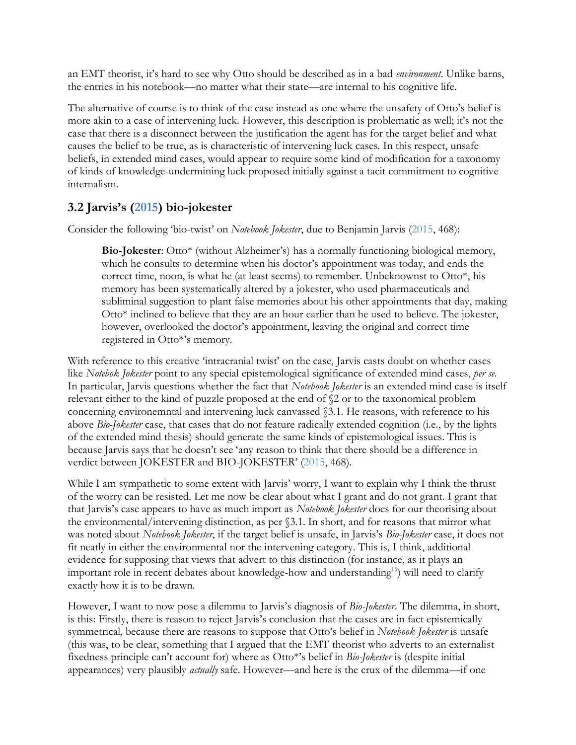an EMT theorist, it's hard to see why Otto should be described as in a bad *environment*. Unlike barns, the entries in his notebook—no matter what their state—are internal to his cognitive life.

The alternative of course is to think of the case instead as one where the unsafety of Otto's belief is more akin to a case of intervening luck. However, this description is problematic as well; it's not the case that there is a disconnect between the justification the agent has for the target belief and what causes the belief to be true, as is characteristic of intervening luck cases. In this respect, unsafe beliefs, in extended mind cases, would appear to require some kind of modification for a taxonomy of kinds of knowledge-undermining luck proposed initially against a tacit commitment to cognitive internalism.

# **3.2 Jarvis's (2015) bio-jokester**

Consider the following 'bio-twist' on *Notebook Jokester*, due to Benjamin Jarvis (2015, 468):

**Bio-Jokester**: Otto\* (without Alzheimer's) has a normally functioning biological memory, which he consults to determine when his doctor's appointment was today, and ends the correct time, noon, is what he (at least seems) to remember. Unbeknownst to Otto\*, his memory has been systematically altered by a jokester, who used pharmaceuticals and subliminal suggestion to plant false memories about his other appointments that day, making Otto\* inclined to believe that they are an hour earlier than he used to believe. The jokester, however, overlooked the doctor's appointment, leaving the original and correct time registered in Otto\*'s memory.

With reference to this creative 'intracranial twist' on the case, Jarvis casts doubt on whether cases like *Notebok Jokester* point to any special epistemological significance of extended mind cases, *per se*. In particular, Jarvis questions whether the fact that *Notebook Jokester* is an extended mind case is itself relevant either to the kind of puzzle proposed at the end of §2 or to the taxonomical problem concerning environemntal and intervening luck canvassed §3.1. He reasons, with reference to his above *Bio-Jokester* case, that cases that do not feature radically extended cognition (i.e., by the lights of the extended mind thesis) should generate the same kinds of epistemological issues. This is because Jarvis says that he doesn't see 'any reason to think that there should be a difference in verdict between JOKESTER and BIO-JOKESTER' (2015, 468).

While I am sympathetic to some extent with Jarvis' worry, I want to explain why I think the thrust of the worry can be resisted. Let me now be clear about what I grant and do not grant. I grant that that Jarvis's case appears to have as much import as *Notebook Jokester* does for our theorising about the environmental/intervening distinction, as per §3.1. In short, and for reasons that mirror what was noted about *Notebook Jokester*, if the target belief is unsafe, in Jarvis's *Bio-Jokester* case, it does not fit neatly in either the environmental nor the intervening category. This is, I think, additional evidence for supposing that views that advert to this distinction (for instance, as it plays an important role in recent debates about knowledge-how and understanding<sup>16</sup>) will need to clarify exactly how it is to be drawn.

However, I want to now pose a dilemma to Jarvis's diagnosis of *Bio-Jokester*. The dilemma, in short, is this: Firstly, there is reason to reject Jarvis's conclusion that the cases are in fact epistemically symmetrical, because there are reasons to suppose that Otto's belief in *Notebook Jokester* is unsafe (this was, to be clear, something that I argued that the EMT theorist who adverts to an externalist fixedness principle can't account for) where as Otto\*'s belief in *Bio-Jokester* is (despite initial appearances) very plausibly *actually* safe. However—and here is the crux of the dilemma—if one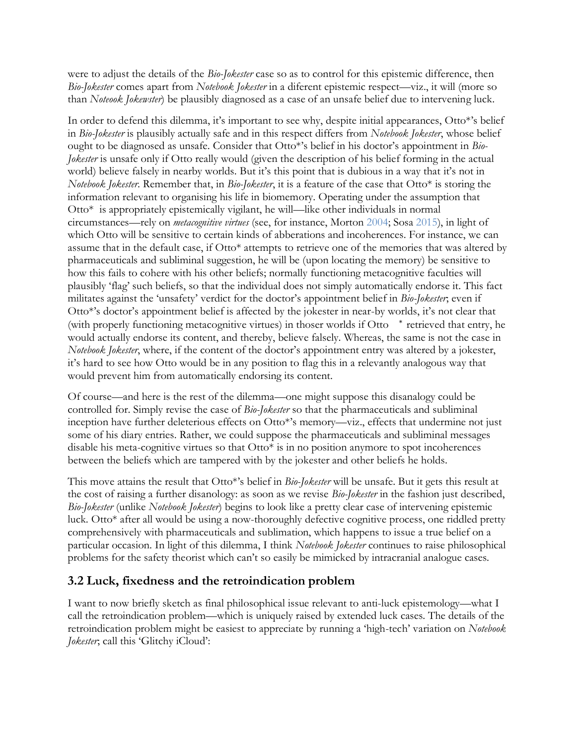were to adjust the details of the *Bio-Jokester* case so as to control for this epistemic difference, then *Bio-Jokester* comes apart from *Notebook Jokester* in a diferent epistemic respect—viz., it will (more so than *Noteook Jokewster*) be plausibly diagnosed as a case of an unsafe belief due to intervening luck.

In order to defend this dilemma, it's important to see why, despite initial appearances, Otto\*'s belief in *Bio-Jokester* is plausibly actually safe and in this respect differs from *Notebook Jokester*, whose belief ought to be diagnosed as unsafe. Consider that Otto\*'s belief in his doctor's appointment in *Bio-Jokester* is unsafe only if Otto really would (given the description of his belief forming in the actual world) believe falsely in nearby worlds. But it's this point that is dubious in a way that it's not in *Notebook Jokester*. Remember that, in *Bio-Jokester*, it is a feature of the case that Otto\* is storing the information relevant to organising his life in biomemory. Operating under the assumption that Otto\* is appropriately epistemically vigilant, he will—like other individuals in normal circumstances—rely on *metacognitive virtues* (see, for instance, Morton 2004; Sosa 2015), in light of which Otto will be sensitive to certain kinds of abberations and incoherences. For instance, we can assume that in the default case, if Otto\* attempts to retrieve one of the memories that was altered by pharmaceuticals and subliminal suggestion, he will be (upon locating the memory) be sensitive to how this fails to cohere with his other beliefs; normally functioning metacognitive faculties will plausibly 'flag' such beliefs, so that the individual does not simply automatically endorse it. This fact militates against the 'unsafety' verdict for the doctor's appointment belief in *Bio-Jokester*; even if Otto\*'s doctor's appointment belief is affected by the jokester in near-by worlds, it's not clear that (with properly functioning metacognitive virtues) in thoser worlds if Otto <sup>∗</sup> retrieved that entry, he would actually endorse its content, and thereby, believe falsely. Whereas, the same is not the case in *Notebook Jokester*, where, if the content of the doctor's appointment entry was altered by a jokester, it's hard to see how Otto would be in any position to flag this in a relevantly analogous way that would prevent him from automatically endorsing its content.

Of course—and here is the rest of the dilemma—one might suppose this disanalogy could be controlled for. Simply revise the case of *Bio-Jokester* so that the pharmaceuticals and subliminal inception have further deleterious effects on Otto\*'s memory—viz., effects that undermine not just some of his diary entries. Rather, we could suppose the pharmaceuticals and subliminal messages disable his meta-cognitive virtues so that Otto\* is in no position anymore to spot incoherences between the beliefs which are tampered with by the jokester and other beliefs he holds.

This move attains the result that Otto\*'s belief in *Bio-Jokester* will be unsafe. But it gets this result at the cost of raising a further disanology: as soon as we revise *Bio-Jokester* in the fashion just described, *Bio-Jokester* (unlike *Notebook Jokester*) begins to look like a pretty clear case of intervening epistemic luck. Otto\* after all would be using a now-thoroughly defective cognitive process, one riddled pretty comprehensively with pharmaceuticals and sublimation, which happens to issue a true belief on a particular occasion. In light of this dilemma, I think *Notebook Jokester* continues to raise philosophical problems for the safety theorist which can't so easily be mimicked by intracranial analogue cases.

# **3.2 Luck, fixedness and the retroindication problem**

I want to now briefly sketch as final philosophical issue relevant to anti-luck epistemology—what I call the retroindication problem—which is uniquely raised by extended luck cases. The details of the retroindication problem might be easiest to appreciate by running a 'high-tech' variation on *Notebook Jokester*; call this 'Glitchy iCloud':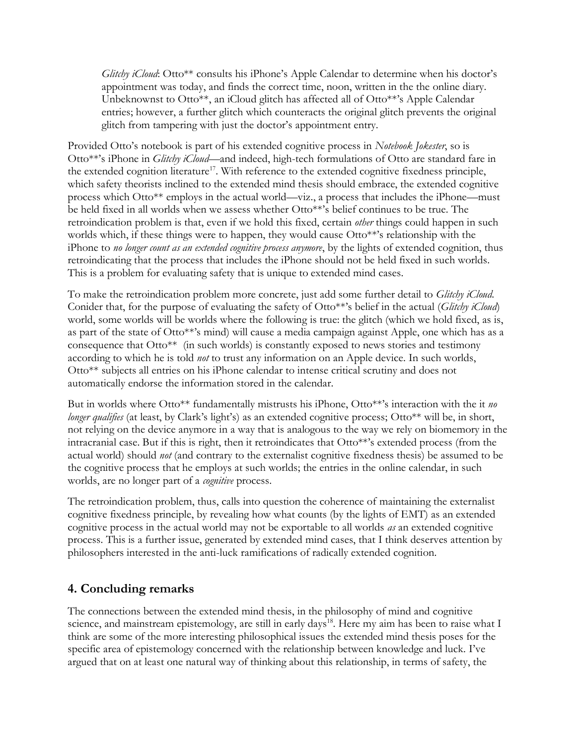*Glitchy iCloud*: Otto\*\* consults his iPhone's Apple Calendar to determine when his doctor's appointment was today, and finds the correct time, noon, written in the the online diary. Unbeknownst to Otto\*\*, an iCloud glitch has affected all of Otto\*\*'s Apple Calendar entries; however, a further glitch which counteracts the original glitch prevents the original glitch from tampering with just the doctor's appointment entry.

Provided Otto's notebook is part of his extended cognitive process in *Notebook Jokester*, so is Otto\*\*'s iPhone in *Glitchy iCloud*—and indeed, high-tech formulations of Otto are standard fare in the extended cognition literature<sup>17</sup>. With reference to the extended cognitive fixedness principle, which safety theorists inclined to the extended mind thesis should embrace, the extended cognitive process which Otto\*\* employs in the actual world—viz., a process that includes the iPhone—must be held fixed in all worlds when we assess whether Otto\*\*'s belief continues to be true. The retroindication problem is that, even if we hold this fixed, certain *other* things could happen in such worlds which, if these things were to happen, they would cause Otto\*\*'s relationship with the iPhone to *no longer count as an extended cognitive process anymore*, by the lights of extended cognition, thus retroindicating that the process that includes the iPhone should not be held fixed in such worlds. This is a problem for evaluating safety that is unique to extended mind cases.

To make the retroindication problem more concrete, just add some further detail to *Glitchy iCloud*. Conider that, for the purpose of evaluating the safety of Otto\*\*'s belief in the actual (*Glitchy iCloud*) world, some worlds will be worlds where the following is true: the glitch (which we hold fixed, as is, as part of the state of Otto\*\*'s mind) will cause a media campaign against Apple, one which has as a consequence that Otto\*\* (in such worlds) is constantly exposed to news stories and testimony according to which he is told *not* to trust any information on an Apple device. In such worlds, Otto\*\* subjects all entries on his iPhone calendar to intense critical scrutiny and does not automatically endorse the information stored in the calendar.

But in worlds where Otto\*\* fundamentally mistrusts his iPhone, Otto\*\*'s interaction with the it *no longer qualifies* (at least, by Clark's light's) as an extended cognitive process; Otto\*\* will be, in short, not relying on the device anymore in a way that is analogous to the way we rely on biomemory in the intracranial case. But if this is right, then it retroindicates that Otto\*\*'s extended process (from the actual world) should *not* (and contrary to the externalist cognitive fixedness thesis) be assumed to be the cognitive process that he employs at such worlds; the entries in the online calendar, in such worlds, are no longer part of a *cognitive* process.

The retroindication problem, thus, calls into question the coherence of maintaining the externalist cognitive fixedness principle, by revealing how what counts (by the lights of EMT) as an extended cognitive process in the actual world may not be exportable to all worlds *as* an extended cognitive process. This is a further issue, generated by extended mind cases, that I think deserves attention by philosophers interested in the anti-luck ramifications of radically extended cognition.

# **4. Concluding remarks**

The connections between the extended mind thesis, in the philosophy of mind and cognitive science, and mainstream epistemology, are still in early days<sup>18</sup>. Here my aim has been to raise what I think are some of the more interesting philosophical issues the extended mind thesis poses for the specific area of epistemology concerned with the relationship between knowledge and luck. I've argued that on at least one natural way of thinking about this relationship, in terms of safety, the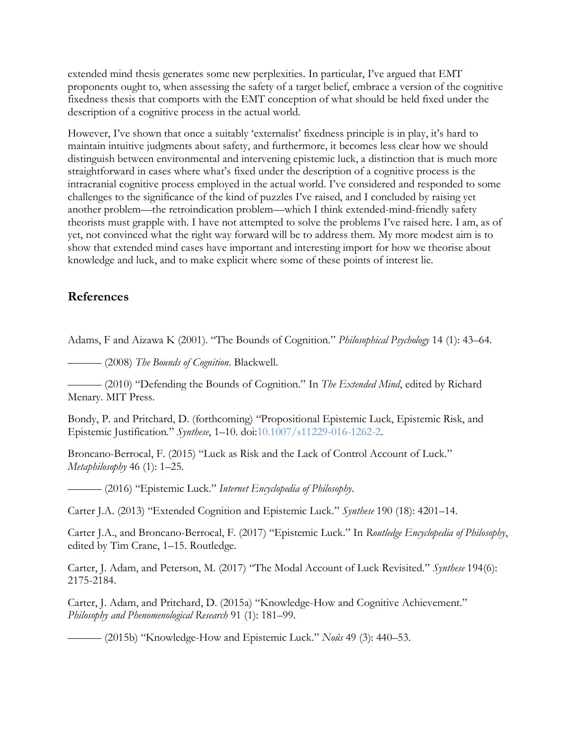extended mind thesis generates some new perplexities. In particular, I've argued that EMT proponents ought to, when assessing the safety of a target belief, embrace a version of the cognitive fixedness thesis that comports with the EMT conception of what should be held fixed under the description of a cognitive process in the actual world.

However, I've shown that once a suitably 'externalist' fixedness principle is in play, it's hard to maintain intuitive judgments about safety, and furthermore, it becomes less clear how we should distinguish between environmental and intervening epistemic luck, a distinction that is much more straightforward in cases where what's fixed under the description of a cognitive process is the intracranial cognitive process employed in the actual world. I've considered and responded to some challenges to the significance of the kind of puzzles I've raised, and I concluded by raising yet another problem—the retroindication problem—which I think extended-mind-friendly safety theorists must grapple with. I have not attempted to solve the problems I've raised here. I am, as of yet, not convinced what the right way forward will be to address them. My more modest aim is to show that extended mind cases have important and interesting import for how we theorise about knowledge and luck, and to make explicit where some of these points of interest lie.

#### **References**

Adams, F and Aizawa K (2001). "The Bounds of Cognition." *Philosophical Psychology* 14 (1): 43–64.

——— (2008) *The Bounds of Cognition*. Blackwell.

——— (2010) "Defending the Bounds of Cognition." In *The Extended Mind*, edited by Richard Menary. MIT Press.

Bondy, P. and Pritchard, D. (forthcoming) "Propositional Epistemic Luck, Epistemic Risk, and Epistemic Justification." *Synthese*, 1–10. doi[:10.1007/s11229-016-1262-2.](https://doi.org/10.1007/s11229-016-1262-2)

Broncano-Berrocal, F. (2015) "Luck as Risk and the Lack of Control Account of Luck." *Metaphilosophy* 46 (1): 1–25.

——— (2016) "Epistemic Luck." *Internet Encyclopedia of Philosophy*.

Carter J.A. (2013) "Extended Cognition and Epistemic Luck." *Synthese* 190 (18): 4201–14.

Carter J.A., and Broncano-Berrocal, F. (2017) "Epistemic Luck." In *Routledge Encyclopedia of Philosophy*, edited by Tim Crane, 1–15. Routledge.

Carter, J. Adam, and Peterson, M. (2017) "The Modal Account of Luck Revisited." *Synthese* 194(6): 2175-2184.

Carter, J. Adam, and Pritchard, D. (2015a) "Knowledge-How and Cognitive Achievement." *Philosophy and Phenomenological Research* 91 (1): 181–99.

——— (2015b) "Knowledge-How and Epistemic Luck." *Noûs* 49 (3): 440–53.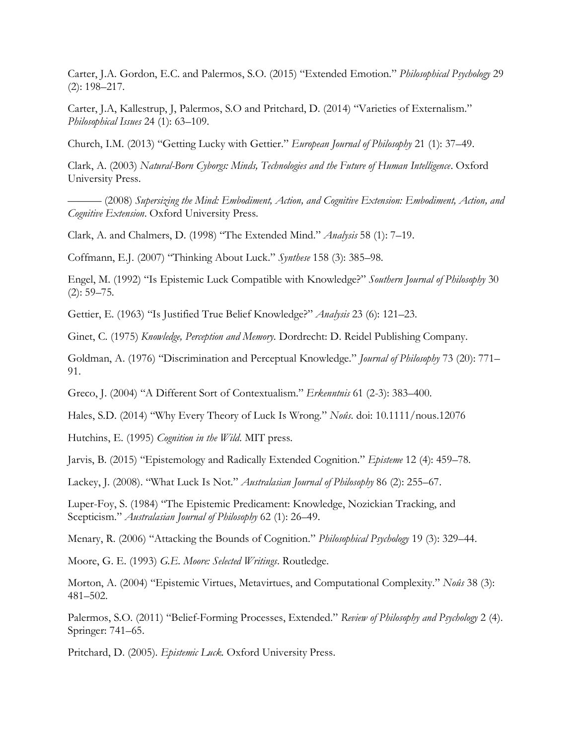Carter, J.A. Gordon, E.C. and Palermos, S.O. (2015) "Extended Emotion." *Philosophical Psychology* 29 (2): 198–217.

Carter, J.A, Kallestrup, J, Palermos, S.O and Pritchard, D. (2014) "Varieties of Externalism." *Philosophical Issues* 24 (1): 63–109.

Church, I.M. (2013) "Getting Lucky with Gettier." *European Journal of Philosophy* 21 (1): 37–49.

Clark, A. (2003) *Natural-Born Cyborgs: Minds, Technologies and the Future of Human Intelligence*. Oxford University Press.

——— (2008) *Supersizing the Mind: Embodiment, Action, and Cognitive Extension: Embodiment, Action, and Cognitive Extension*. Oxford University Press.

Clark, A. and Chalmers, D. (1998) "The Extended Mind." *Analysis* 58 (1): 7–19.

Coffmann, E.J. (2007) "Thinking About Luck." *Synthese* 158 (3): 385–98.

Engel, M. (1992) "Is Epistemic Luck Compatible with Knowledge?" *Southern Journal of Philosophy* 30  $(2): 59 - 75.$ 

Gettier, E. (1963) "Is Justified True Belief Knowledge?" *Analysis* 23 (6): 121–23.

Ginet, C. (1975) *Knowledge, Perception and Memory*. Dordrecht: D. Reidel Publishing Company.

Goldman, A. (1976) "Discrimination and Perceptual Knowledge." *Journal of Philosophy* 73 (20): 771– 91.

Greco, J. (2004) "A Different Sort of Contextualism." *Erkenntnis* 61 (2-3): 383–400.

Hales, S.D. (2014) "Why Every Theory of Luck Is Wrong." *Noûs*. doi: 10.1111/nous.12076

Hutchins, E. (1995) *Cognition in the Wild*. MIT press.

Jarvis, B. (2015) "Epistemology and Radically Extended Cognition." *Episteme* 12 (4): 459–78.

Lackey, J. (2008). "What Luck Is Not." *Australasian Journal of Philosophy* 86 (2): 255–67.

Luper-Foy, S. (1984) "The Epistemic Predicament: Knowledge, Nozickian Tracking, and Scepticism." *Australasian Journal of Philosophy* 62 (1): 26–49.

Menary, R. (2006) "Attacking the Bounds of Cognition." *Philosophical Psychology* 19 (3): 329–44.

Moore, G. E. (1993) *G.E. Moore: Selected Writings*. Routledge.

Morton, A. (2004) "Epistemic Virtues, Metavirtues, and Computational Complexity." *Noûs* 38 (3): 481–502.

Palermos, S.O. (2011) "Belief-Forming Processes, Extended." *Review of Philosophy and Psychology* 2 (4). Springer: 741–65.

Pritchard, D. (2005). *Epistemic Luck*. Oxford University Press.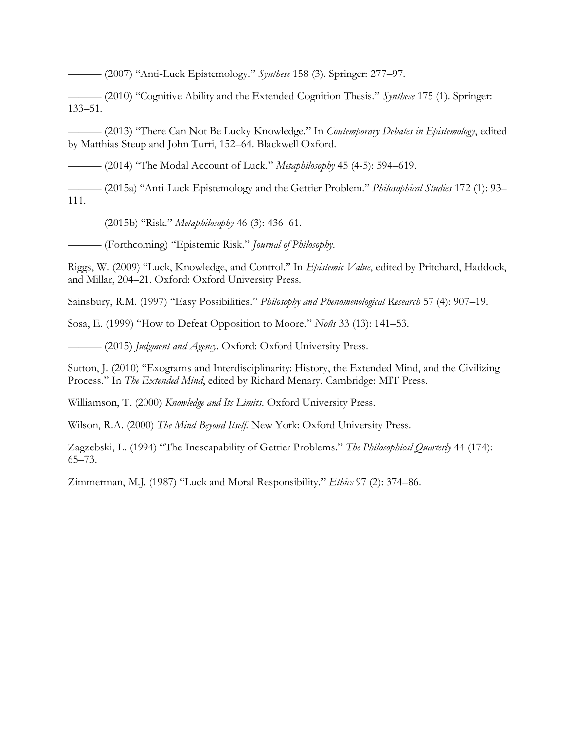——— (2007) "Anti-Luck Epistemology." *Synthese* 158 (3). Springer: 277–97.

——— (2010) "Cognitive Ability and the Extended Cognition Thesis." *Synthese* 175 (1). Springer: 133–51.

——— (2013) "There Can Not Be Lucky Knowledge." In *Contemporary Debates in Epistemology*, edited by Matthias Steup and John Turri, 152–64. Blackwell Oxford.

——— (2014) "The Modal Account of Luck." *Metaphilosophy* 45 (4-5): 594–619.

——— (2015a) "Anti-Luck Epistemology and the Gettier Problem." *Philosophical Studies* 172 (1): 93– 111.

——— (2015b) "Risk." *Metaphilosophy* 46 (3): 436–61.

——— (Forthcoming) "Epistemic Risk." *Journal of Philosophy*.

Riggs, W. (2009) "Luck, Knowledge, and Control." In *Epistemic Value*, edited by Pritchard, Haddock, and Millar, 204–21. Oxford: Oxford University Press.

Sainsbury, R.M. (1997) "Easy Possibilities." *Philosophy and Phenomenological Research* 57 (4): 907–19.

Sosa, E. (1999) "How to Defeat Opposition to Moore." *Noûs* 33 (13): 141–53.

——— (2015) *Judgment and Agency*. Oxford: Oxford University Press.

Sutton, J. (2010) "Exograms and Interdisciplinarity: History, the Extended Mind, and the Civilizing Process." In *The Extended Mind*, edited by Richard Menary. Cambridge: MIT Press.

Williamson, T. (2000) *Knowledge and Its Limits*. Oxford University Press.

Wilson, R.A. (2000) *The Mind Beyond Itself*. New York: Oxford University Press.

Zagzebski, L. (1994) "The Inescapability of Gettier Problems." *The Philosophical Quarterly* 44 (174): 65–73.

Zimmerman, M.J. (1987) "Luck and Moral Responsibility." *Ethics* 97 (2): 374–86.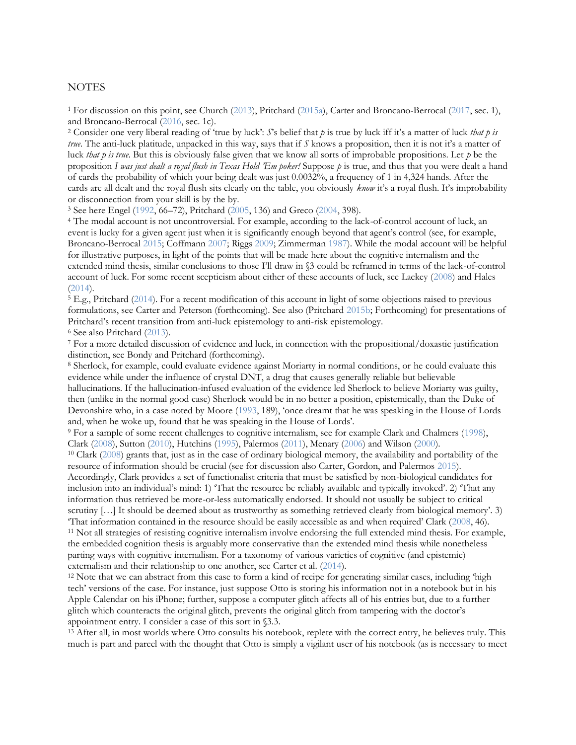#### **NOTES**

<sup>1</sup> For discussion on this point, see Church (2013), Pritchard (2015a), Carter and Broncano-Berrocal (2017, sec. 1), and Broncano-Berrocal (2016, sec. 1c).

<sup>2</sup> Consider one very liberal reading of 'true by luck': *S*'s belief that *p* is true by luck iff it's a matter of luck *that p is true*. The anti-luck platitude, unpacked in this way, says that if *S* knows a proposition, then it is not it's a matter of luck *that p is true*. But this is obviously false given that we know all sorts of improbable propositions. Let *p* be the proposition *I was just dealt a royal flush in Texas Hold 'Em poker!* Suppose *p* is true, and thus that you were dealt a hand of cards the probability of which your being dealt was just 0.0032%, a frequency of 1 in 4,324 hands. After the cards are all dealt and the royal flush sits clearly on the table, you obviously *know* it's a royal flush. It's improbability or disconnection from your skill is by the by.

<sup>3</sup> See here Engel (1992, 66–72), Pritchard (2005, 136) and Greco (2004, 398).

<sup>4</sup> The modal account is not uncontroversial. For example, according to the lack-of-control account of luck, an event is lucky for a given agent just when it is significantly enough beyond that agent's control (see, for example, Broncano-Berrocal 2015; Coffmann 2007; Riggs 2009; Zimmerman 1987). While the modal account will be helpful for illustrative purposes, in light of the points that will be made here about the cognitive internalism and the extended mind thesis, similar conclusions to those I'll draw in §3 could be reframed in terms of the lack-of-control account of luck. For some recent scepticism about either of these accounts of luck, see Lackey (2008) and Hales (2014).

<sup>5</sup> E.g., Pritchard (2014). For a recent modification of this account in light of some objections raised to previous formulations, see Carter and Peterson (forthcoming). See also (Pritchard 2015b; Forthcoming) for presentations of Pritchard's recent transition from anti-luck epistemology to anti-risk epistemology. <sup>6</sup> See also Pritchard (2013).

<sup>7</sup> For a more detailed discussion of evidence and luck, in connection with the propositional/doxastic justification distinction, see Bondy and Pritchard (forthcoming).

<sup>8</sup> Sherlock, for example, could evaluate evidence against Moriarty in normal conditions, or he could evaluate this evidence while under the influence of crystal DNT, a drug that causes generally reliable but believable hallucinations. If the hallucination-infused evaluation of the evidence led Sherlock to believe Moriarty was guilty, then (unlike in the normal good case) Sherlock would be in no better a position, epistemically, than the Duke of Devonshire who, in a case noted by Moore (1993, 189), 'once dreamt that he was speaking in the House of Lords and, when he woke up, found that he was speaking in the House of Lords'.

<sup>9</sup> For a sample of some recent challenges to cognitive internalism, see for example Clark and Chalmers (1998), Clark (2008), Sutton (2010), Hutchins (1995), Palermos (2011), Menary (2006) and Wilson (2000).

<sup>10</sup> Clark (2008) grants that, just as in the case of ordinary biological memory, the availability and portability of the resource of information should be crucial (see for discussion also Carter, Gordon, and Palermos 2015). Accordingly, Clark provides a set of functionalist criteria that must be satisfied by non-biological candidates for inclusion into an individual's mind: 1) 'That the resource be reliably available and typically invoked'. 2) 'That any information thus retrieved be more-or-less automatically endorsed. It should not usually be subject to critical scrutiny [...] It should be deemed about as trustworthy as something retrieved clearly from biological memory'. 3) 'That information contained in the resource should be easily accessible as and when required' Clark (2008, 46). <sup>11</sup> Not all strategies of resisting cognitive internalism involve endorsing the full extended mind thesis. For example, the embedded cognition thesis is arguably more conservative than the extended mind thesis while nonetheless parting ways with cognitive internalism. For a taxonomy of various varieties of cognitive (and epistemic) externalism and their relationship to one another, see Carter et al. (2014).

<sup>12</sup> Note that we can abstract from this case to form a kind of recipe for generating similar cases, including 'high tech' versions of the case. For instance, just suppose Otto is storing his information not in a notebook but in his Apple Calendar on his iPhone; further, suppose a computer glitch affects all of his entries but, due to a further glitch which counteracts the original glitch, prevents the original glitch from tampering with the doctor's appointment entry. I consider a case of this sort in §3.3.

<sup>13</sup> After all, in most worlds where Otto consults his notebook, replete with the correct entry, he believes truly. This much is part and parcel with the thought that Otto is simply a vigilant user of his notebook (as is necessary to meet